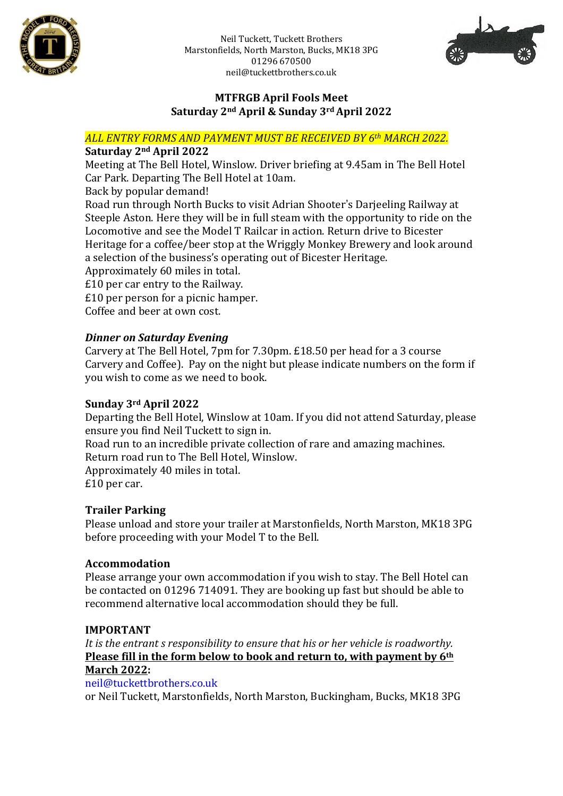

Neil Tuckett, Tuckett Brothers Marstonfields, North Marston, Bucks, MK18 3PG 01296 670500 neil@tuckettbrothers.co.uk



## **MTFRGB April Fools Meet Saturday 2nd April & Sunday 3rdApril 2022**

*ALL ENTRY FORMS AND PAYMENT MUST BE RECEIVED BY 6th MARCH 2022.*

# **Saturday 2nd April 2022**

Meeting at The Bell Hotel, Winslow. Driver briefing at 9.45am in The Bell Hotel Car Park. Departing The Bell Hotel at 10am.

Back by popular demand!

Road run through North Bucks to visit Adrian Shooter's Darjeeling Railway at Steeple Aston. Here they will be in full steam with the opportunity to ride on the Locomotive and see the Model T Railcar in action. Return drive to Bicester Heritage for a coffee/beer stop at the Wriggly Monkey Brewery and look around a selection of the business's operating out of Bicester Heritage.

Approximately 60 miles in total.

£10 per car entry to the Railway.

£10 per person for a picnic hamper.

Coffee and beer at own cost.

## *Dinner on Saturday Evening*

Carvery at The Bell Hotel, 7pm for 7.30pm. £18.50 per head for a 3 course Carvery and Coffee). Pay on the night but please indicate numbers on the form if you wish to come as we need to book.

## **Sunday 3rd April 2022**

Departing the Bell Hotel, Winslow at 10am. If you did not attend Saturday, please ensure you find Neil Tuckett to sign in.

Road run to an incredible private collection of rare and amazing machines. Return road run to The Bell Hotel, Winslow.

Approximately 40 miles in total. £10 per car.

## **Trailer Parking**

Please unload and store your trailer at Marstonfields, North Marston, MK18 3PG before proceeding with your Model T to the Bell.

## **Accommodation**

Please arrange your own accommodation if you wish to stay. The Bell Hotel can be contacted on 01296 714091. They are booking up fast but should be able to recommend alternative local accommodation should they be full.

## **IMPORTANT**

*It is the entrant s responsibility to ensure that his or her vehicle is roadworthy.* **Please fill in the form below to book and return to, with payment by 6th March 2022:**

## [neil@tuckettbrothers.co.uk](mailto:neil@tuckettbrothers.co.uk)

or Neil Tuckett, Marstonfields, North Marston, Buckingham, Bucks, MK18 3PG